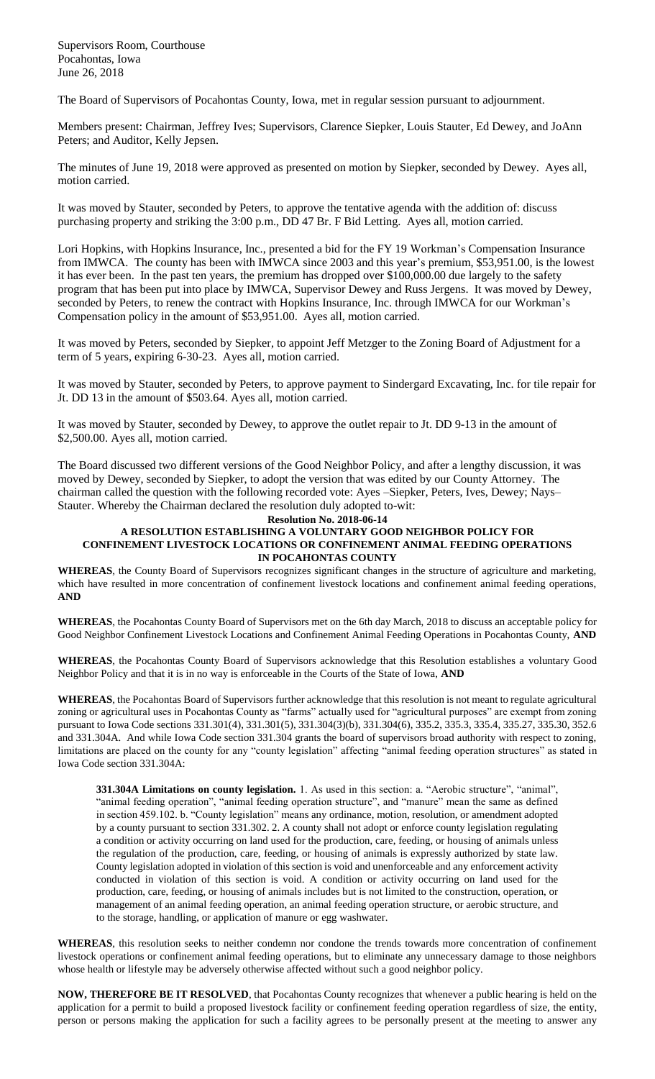Supervisors Room, Courthouse Pocahontas, Iowa June 26, 2018

The Board of Supervisors of Pocahontas County, Iowa, met in regular session pursuant to adjournment.

Members present: Chairman, Jeffrey Ives; Supervisors, Clarence Siepker, Louis Stauter, Ed Dewey, and JoAnn Peters; and Auditor, Kelly Jepsen.

The minutes of June 19, 2018 were approved as presented on motion by Siepker, seconded by Dewey. Ayes all, motion carried.

It was moved by Stauter, seconded by Peters, to approve the tentative agenda with the addition of: discuss purchasing property and striking the 3:00 p.m., DD 47 Br. F Bid Letting. Ayes all, motion carried.

Lori Hopkins, with Hopkins Insurance, Inc., presented a bid for the FY 19 Workman's Compensation Insurance from IMWCA. The county has been with IMWCA since 2003 and this year's premium, \$53,951.00, is the lowest it has ever been. In the past ten years, the premium has dropped over \$100,000.00 due largely to the safety program that has been put into place by IMWCA, Supervisor Dewey and Russ Jergens. It was moved by Dewey, seconded by Peters, to renew the contract with Hopkins Insurance, Inc. through IMWCA for our Workman's Compensation policy in the amount of \$53,951.00. Ayes all, motion carried.

It was moved by Peters, seconded by Siepker, to appoint Jeff Metzger to the Zoning Board of Adjustment for a term of 5 years, expiring 6-30-23. Ayes all, motion carried.

It was moved by Stauter, seconded by Peters, to approve payment to Sindergard Excavating, Inc. for tile repair for Jt. DD 13 in the amount of \$503.64. Ayes all, motion carried.

It was moved by Stauter, seconded by Dewey, to approve the outlet repair to Jt. DD 9-13 in the amount of \$2,500.00. Ayes all, motion carried.

The Board discussed two different versions of the Good Neighbor Policy, and after a lengthy discussion, it was moved by Dewey, seconded by Siepker, to adopt the version that was edited by our County Attorney. The chairman called the question with the following recorded vote: Ayes –Siepker, Peters, Ives, Dewey; Nays– Stauter. Whereby the Chairman declared the resolution duly adopted to-wit:

## **Resolution No. 2018-06-14 A RESOLUTION ESTABLISHING A VOLUNTARY GOOD NEIGHBOR POLICY FOR CONFINEMENT LIVESTOCK LOCATIONS OR CONFINEMENT ANIMAL FEEDING OPERATIONS IN POCAHONTAS COUNTY**

**WHEREAS**, the County Board of Supervisors recognizes significant changes in the structure of agriculture and marketing, which have resulted in more concentration of confinement livestock locations and confinement animal feeding operations, **AND**

**WHEREAS**, the Pocahontas County Board of Supervisors met on the 6th day March, 2018 to discuss an acceptable policy for Good Neighbor Confinement Livestock Locations and Confinement Animal Feeding Operations in Pocahontas County, **AND**

**WHEREAS**, the Pocahontas County Board of Supervisors acknowledge that this Resolution establishes a voluntary Good Neighbor Policy and that it is in no way is enforceable in the Courts of the State of Iowa, **AND**

**WHEREAS**, the Pocahontas Board of Supervisors further acknowledge that this resolution is not meant to regulate agricultural zoning or agricultural uses in Pocahontas County as "farms" actually used for "agricultural purposes" are exempt from zoning pursuant to Iowa Code sections 331.301(4), 331.301(5), 331.304(3)(b), 331.304(6), 335.2, 335.3, 335.4, 335.27, 335.30, 352.6 and 331.304A. And while Iowa Code section 331.304 grants the board of supervisors broad authority with respect to zoning, limitations are placed on the county for any "county legislation" affecting "animal feeding operation structures" as stated in Iowa Code section 331.304A:

**331.304A Limitations on county legislation.** 1. As used in this section: a. "Aerobic structure", "animal", "animal feeding operation", "animal feeding operation structure", and "manure" mean the same as defined in section 459.102. b. "County legislation" means any ordinance, motion, resolution, or amendment adopted by a county pursuant to section 331.302. 2. A county shall not adopt or enforce county legislation regulating a condition or activity occurring on land used for the production, care, feeding, or housing of animals unless the regulation of the production, care, feeding, or housing of animals is expressly authorized by state law. County legislation adopted in violation of this section is void and unenforceable and any enforcement activity conducted in violation of this section is void. A condition or activity occurring on land used for the production, care, feeding, or housing of animals includes but is not limited to the construction, operation, or management of an animal feeding operation, an animal feeding operation structure, or aerobic structure, and to the storage, handling, or application of manure or egg washwater.

**WHEREAS**, this resolution seeks to neither condemn nor condone the trends towards more concentration of confinement livestock operations or confinement animal feeding operations, but to eliminate any unnecessary damage to those neighbors whose health or lifestyle may be adversely otherwise affected without such a good neighbor policy.

**NOW, THEREFORE BE IT RESOLVED**, that Pocahontas County recognizes that whenever a public hearing is held on the application for a permit to build a proposed livestock facility or confinement feeding operation regardless of size, the entity, person or persons making the application for such a facility agrees to be personally present at the meeting to answer any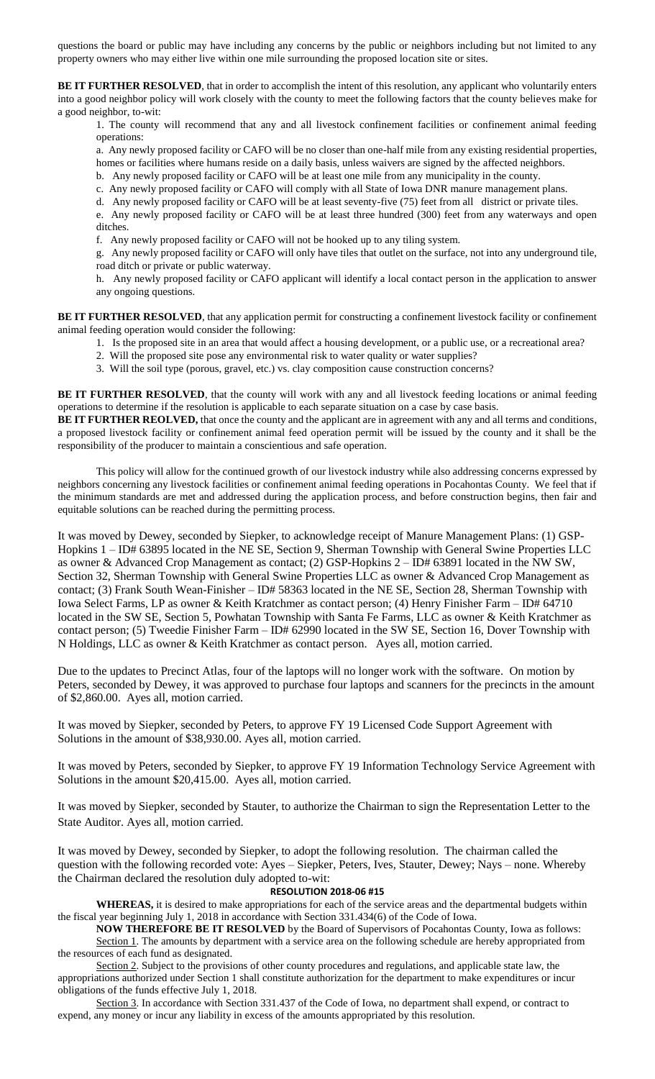questions the board or public may have including any concerns by the public or neighbors including but not limited to any property owners who may either live within one mile surrounding the proposed location site or sites.

**BE IT FURTHER RESOLVED**, that in order to accomplish the intent of this resolution, any applicant who voluntarily enters into a good neighbor policy will work closely with the county to meet the following factors that the county believes make for a good neighbor, to-wit:

1. The county will recommend that any and all livestock confinement facilities or confinement animal feeding operations:

a. Any newly proposed facility or CAFO will be no closer than one-half mile from any existing residential properties, homes or facilities where humans reside on a daily basis, unless waivers are signed by the affected neighbors.

b. Any newly proposed facility or CAFO will be at least one mile from any municipality in the county.

c. Any newly proposed facility or CAFO will comply with all State of Iowa DNR manure management plans.

d. Any newly proposed facility or CAFO will be at least seventy-five (75) feet from all district or private tiles.

e. Any newly proposed facility or CAFO will be at least three hundred (300) feet from any waterways and open ditches.

f. Any newly proposed facility or CAFO will not be hooked up to any tiling system.

g. Any newly proposed facility or CAFO will only have tiles that outlet on the surface, not into any underground tile, road ditch or private or public waterway.

h. Any newly proposed facility or CAFO applicant will identify a local contact person in the application to answer any ongoing questions.

BE IT FURTHER RESOLVED, that any application permit for constructing a confinement livestock facility or confinement animal feeding operation would consider the following:

- 1. Is the proposed site in an area that would affect a housing development, or a public use, or a recreational area?
- 2. Will the proposed site pose any environmental risk to water quality or water supplies?
- 3. Will the soil type (porous, gravel, etc.) vs. clay composition cause construction concerns?

**BE IT FURTHER RESOLVED**, that the county will work with any and all livestock feeding locations or animal feeding operations to determine if the resolution is applicable to each separate situation on a case by case basis.

**BE IT FURTHER REOLVED,** that once the county and the applicant are in agreement with any and all terms and conditions, a proposed livestock facility or confinement animal feed operation permit will be issued by the county and it shall be the responsibility of the producer to maintain a conscientious and safe operation.

This policy will allow for the continued growth of our livestock industry while also addressing concerns expressed by neighbors concerning any livestock facilities or confinement animal feeding operations in Pocahontas County. We feel that if the minimum standards are met and addressed during the application process, and before construction begins, then fair and equitable solutions can be reached during the permitting process.

It was moved by Dewey, seconded by Siepker, to acknowledge receipt of Manure Management Plans: (1) GSP-Hopkins 1 – ID# 63895 located in the NE SE, Section 9, Sherman Township with General Swine Properties LLC as owner & Advanced Crop Management as contact; (2) GSP-Hopkins 2 – ID# 63891 located in the NW SW, Section 32, Sherman Township with General Swine Properties LLC as owner & Advanced Crop Management as contact; (3) Frank South Wean-Finisher – ID# 58363 located in the NE SE, Section 28, Sherman Township with Iowa Select Farms, LP as owner & Keith Kratchmer as contact person; (4) Henry Finisher Farm – ID# 64710 located in the SW SE, Section 5, Powhatan Township with Santa Fe Farms, LLC as owner & Keith Kratchmer as contact person; (5) Tweedie Finisher Farm – ID# 62990 located in the SW SE, Section 16, Dover Township with N Holdings, LLC as owner & Keith Kratchmer as contact person. Ayes all, motion carried.

Due to the updates to Precinct Atlas, four of the laptops will no longer work with the software. On motion by Peters, seconded by Dewey, it was approved to purchase four laptops and scanners for the precincts in the amount of \$2,860.00. Ayes all, motion carried.

It was moved by Siepker, seconded by Peters, to approve FY 19 Licensed Code Support Agreement with Solutions in the amount of \$38,930.00. Ayes all, motion carried.

It was moved by Peters, seconded by Siepker, to approve FY 19 Information Technology Service Agreement with Solutions in the amount \$20,415.00. Ayes all, motion carried.

It was moved by Siepker, seconded by Stauter, to authorize the Chairman to sign the Representation Letter to the State Auditor. Ayes all, motion carried.

It was moved by Dewey, seconded by Siepker, to adopt the following resolution. The chairman called the question with the following recorded vote: Ayes – Siepker, Peters, Ives, Stauter, Dewey; Nays – none. Whereby the Chairman declared the resolution duly adopted to-wit:

## **RESOLUTION 2018-06 #15**

**WHEREAS,** it is desired to make appropriations for each of the service areas and the departmental budgets within the fiscal year beginning July 1, 2018 in accordance with Section 331.434(6) of the Code of Iowa.

**NOW THEREFORE BE IT RESOLVED** by the Board of Supervisors of Pocahontas County, Iowa as follows: Section 1. The amounts by department with a service area on the following schedule are hereby appropriated from the resources of each fund as designated.

Section 2. Subject to the provisions of other county procedures and regulations, and applicable state law, the appropriations authorized under Section 1 shall constitute authorization for the department to make expenditures or incur obligations of the funds effective July 1, 2018.

Section 3. In accordance with Section 331.437 of the Code of Iowa, no department shall expend, or contract to expend, any money or incur any liability in excess of the amounts appropriated by this resolution.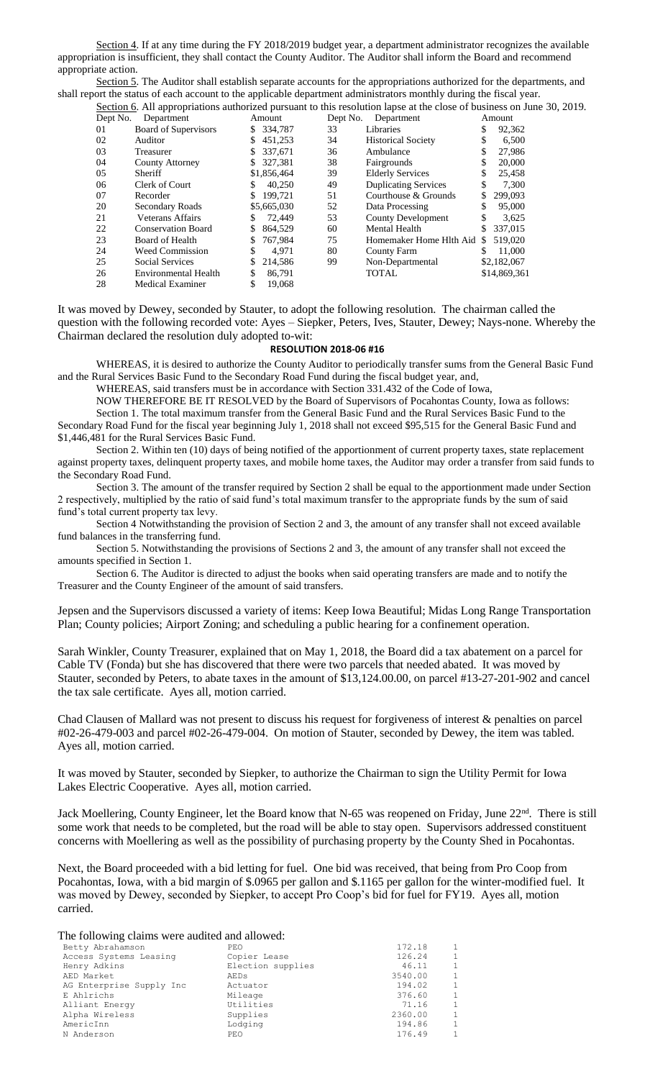Section 4. If at any time during the FY 2018/2019 budget year, a department administrator recognizes the available appropriation is insufficient, they shall contact the County Auditor. The Auditor shall inform the Board and recommend appropriate action.

Section 5. The Auditor shall establish separate accounts for the appropriations authorized for the departments, and shall report the status of each account to the applicable department administrators monthly during the fiscal year. Section 6. All appropriations authorized pursuant to this resolution lapse at the close of business on June 30, 2019.

| Department                |         |                                            | Department                  |          | Amount                                                                                                    |
|---------------------------|---------|--------------------------------------------|-----------------------------|----------|-----------------------------------------------------------------------------------------------------------|
| Board of Supervisors      | 334.787 | 33                                         | Libraries                   | S        | 92,362                                                                                                    |
| Auditor                   | 451,253 | 34                                         | <b>Historical Society</b>   |          | 6,500                                                                                                     |
| Treasurer                 | 337.671 | 36                                         | Ambulance                   |          | 27,986                                                                                                    |
| <b>County Attorney</b>    | 327.381 | 38                                         | Fairgrounds                 | \$       | 20,000                                                                                                    |
| Sheriff                   |         | 39                                         | <b>Elderly Services</b>     |          | 25,458                                                                                                    |
| Clerk of Court            | 40.250  | 49                                         | <b>Duplicating Services</b> | \$       | 7,300                                                                                                     |
| Recorder                  | 199.721 | 51                                         | Courthouse & Grounds        |          | 299,093                                                                                                   |
| Secondary Roads           |         | 52                                         | Data Processing             |          | 95,000                                                                                                    |
| Veterans Affairs          | 72,449  | 53                                         | <b>County Development</b>   | \$       | 3.625                                                                                                     |
| <b>Conservation Board</b> | 864.529 | 60                                         | Mental Health               |          | 337,015                                                                                                   |
| Board of Health           | 767.984 | 75                                         | Homemaker Home Hlth Aid     | S.       | 519,020                                                                                                   |
| <b>Weed Commission</b>    | 4.971   | 80                                         | County Farm                 |          | 11,000                                                                                                    |
| <b>Social Services</b>    | 214,586 | 99                                         | Non-Departmental            |          | \$2,182,067                                                                                               |
| Environmental Health      | 86.791  |                                            | <b>TOTAL</b>                |          | \$14,869,361                                                                                              |
| Medical Examiner          | 19.068  |                                            |                             |          |                                                                                                           |
|                           | S.      | Amount<br>S.<br>\$1,856,464<br>\$5,665,030 |                             | Dept No. | Section 0. Air appropriations authorized pursuant to this resolution fapse at the close of business on Fi |

It was moved by Dewey, seconded by Stauter, to adopt the following resolution. The chairman called the question with the following recorded vote: Ayes – Siepker, Peters, Ives, Stauter, Dewey; Nays-none. Whereby the Chairman declared the resolution duly adopted to-wit:

## **RESOLUTION 2018-06 #16**

WHEREAS, it is desired to authorize the County Auditor to periodically transfer sums from the General Basic Fund and the Rural Services Basic Fund to the Secondary Road Fund during the fiscal budget year, and,

WHEREAS, said transfers must be in accordance with Section 331.432 of the Code of Iowa,

NOW THEREFORE BE IT RESOLVED by the Board of Supervisors of Pocahontas County, Iowa as follows:

Section 1. The total maximum transfer from the General Basic Fund and the Rural Services Basic Fund to the Secondary Road Fund for the fiscal year beginning July 1, 2018 shall not exceed \$95,515 for the General Basic Fund and \$1,446,481 for the Rural Services Basic Fund.

Section 2. Within ten (10) days of being notified of the apportionment of current property taxes, state replacement against property taxes, delinquent property taxes, and mobile home taxes, the Auditor may order a transfer from said funds to the Secondary Road Fund.

Section 3. The amount of the transfer required by Section 2 shall be equal to the apportionment made under Section 2 respectively, multiplied by the ratio of said fund's total maximum transfer to the appropriate funds by the sum of said fund's total current property tax levy.

Section 4 Notwithstanding the provision of Section 2 and 3, the amount of any transfer shall not exceed available fund balances in the transferring fund.

Section 5. Notwithstanding the provisions of Sections 2 and 3, the amount of any transfer shall not exceed the amounts specified in Section 1.

Section 6. The Auditor is directed to adjust the books when said operating transfers are made and to notify the Treasurer and the County Engineer of the amount of said transfers.

Jepsen and the Supervisors discussed a variety of items: Keep Iowa Beautiful; Midas Long Range Transportation Plan; County policies; Airport Zoning; and scheduling a public hearing for a confinement operation.

Sarah Winkler, County Treasurer, explained that on May 1, 2018, the Board did a tax abatement on a parcel for Cable TV (Fonda) but she has discovered that there were two parcels that needed abated. It was moved by Stauter, seconded by Peters, to abate taxes in the amount of \$13,124.00.00, on parcel #13-27-201-902 and cancel the tax sale certificate. Ayes all, motion carried.

Chad Clausen of Mallard was not present to discuss his request for forgiveness of interest & penalties on parcel #02-26-479-003 and parcel #02-26-479-004. On motion of Stauter, seconded by Dewey, the item was tabled. Ayes all, motion carried.

It was moved by Stauter, seconded by Siepker, to authorize the Chairman to sign the Utility Permit for Iowa Lakes Electric Cooperative. Ayes all, motion carried.

Jack Moellering, County Engineer, let the Board know that N-65 was reopened on Friday, June 22<sup>nd</sup>. There is still some work that needs to be completed, but the road will be able to stay open. Supervisors addressed constituent concerns with Moellering as well as the possibility of purchasing property by the County Shed in Pocahontas.

Next, the Board proceeded with a bid letting for fuel. One bid was received, that being from Pro Coop from Pocahontas, Iowa, with a bid margin of \$.0965 per gallon and \$.1165 per gallon for the winter-modified fuel. It was moved by Dewey, seconded by Siepker, to accept Pro Coop's bid for fuel for FY19. Ayes all, motion carried.

The following claims were audited and allowed:

| Betty Abrahamson         | PEO               | 172.18  | $\mathbf{1}$   |
|--------------------------|-------------------|---------|----------------|
| Access Systems Leasing   | Copier Lease      | 126.24  | $\mathbf{1}$   |
| Henry Adkins             | Election supplies | 46.11   | $\overline{1}$ |
| AED Market               | AEDs              | 3540.00 | $\mathbf{1}$   |
| AG Enterprise Supply Inc | Actuator          | 194.02  | 1              |
| E Ahlrichs               | Mileage           | 376.60  | $\mathbf{1}$   |
| Alliant Energy           | Utilities         | 71.16   | $\overline{1}$ |
| Alpha Wireless           | Supplies          | 2360.00 | $\overline{1}$ |
| AmericInn                | Lodging           | 194.86  | $\mathbf{1}$   |
| N Anderson               | PEO               | 176.49  | $\mathbf{1}$   |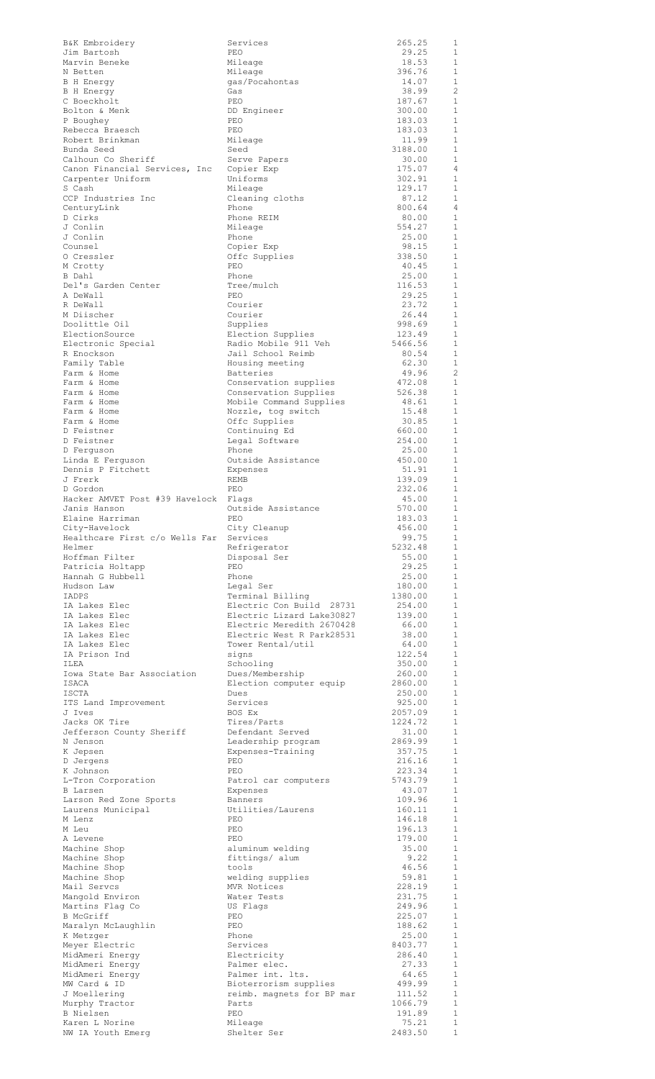| B&K Embroidery<br>Jim Bartosh                     | Services<br>PEO                                       | 265.25<br>29.25            | 1<br>1                       |
|---------------------------------------------------|-------------------------------------------------------|----------------------------|------------------------------|
| Marvin Beneke                                     | Mileage                                               | 18.53                      | 1                            |
| N Betten                                          | Mileage                                               | 396.76                     | 1                            |
| <b>B</b> H Energy<br><b>B</b> H Energy            | gas/Pocahontas<br>Gas                                 | 14.07<br>38.99             | 1<br>2                       |
| C Boeckholt                                       | PEO                                                   | 187.67                     | 1                            |
| Bolton & Menk<br>P Boughey                        | DD Engineer<br>PEO                                    | 300.00<br>183.03           | 1<br>1                       |
| Rebecca Braesch                                   | PEO                                                   | 183.03                     | 1                            |
| Robert Brinkman                                   | Mileage                                               | 11.99                      | 1                            |
| Bunda Seed<br>Calhoun Co Sheriff                  | Seed<br>Serve Papers                                  | 3188.00<br>30.00           | 1<br>1                       |
| Canon Financial Services, Inc                     | Copier Exp                                            | 175.07                     | 4                            |
| Carpenter Uniform<br>S Cash                       | Uniforms<br>Mileage                                   | 302.91<br>129.17           | 1<br>$\mathbf{1}$            |
| CCP Industries Inc                                | Cleaning cloths                                       | 87.12                      | 1                            |
| CenturyLink                                       | Phone                                                 | 800.64                     | $\overline{4}$<br>1          |
| D Cirks<br>J Conlin                               | Phone REIM<br>Mileage                                 | 80.00<br>554.27            | $\mathbf{1}$                 |
| J Conlin                                          | Phone                                                 | 25.00                      | 1                            |
| Counsel<br>0 Cressler                             | Copier Exp<br>Offc Supplies                           | 98.15<br>338.50            | 1<br>1                       |
| M Crotty                                          | PEO                                                   | 40.45                      | $\mathbf{1}$                 |
| B Dahl<br>Del's Garden Center                     | Phone<br>Tree/mulch                                   | 25.00<br>116.53            | $\mathbf{1}$<br>$\mathbf{1}$ |
| A DeWall                                          | PEO                                                   | 29.25                      | $\mathbf{1}$                 |
| R DeWall                                          | Courier                                               | 23.72                      | $\mathbf{1}$<br>$\mathbf{1}$ |
| M Diischer<br>Doolittle Oil                       | Courier<br>Supplies                                   | 26.44<br>998.69            | $\mathbf{1}$                 |
| ElectionSource                                    | Election Supplies                                     | 123.49                     | $\mathbf{1}$                 |
| Electronic Special<br>R Enockson                  | Radio Mobile 911 Veh<br>Jail School Reimb             | 5466.56<br>80.54           | $\mathbf{1}$<br>$\mathbf{1}$ |
| Family Table                                      | Housing meeting                                       | 62.30                      | $\mathbf{1}$                 |
| Farm & Home<br>Farm & Home                        | Batteries                                             | 49.96<br>472.08            | $\overline{c}$<br>1          |
| Farm & Home                                       | Conservation supplies<br>Conservation Supplies        | 526.38                     | $\mathbf{1}$                 |
| Farm & Home                                       | Mobile Command Supplies                               | 48.61                      | $\mathbf{1}$                 |
| Farm & Home<br>Farm & Home                        | Nozzle, tog switch<br>Offc Supplies                   | 15.48<br>30.85             | $\mathbf{1}$<br>1            |
| D Feistner                                        | Continuing Ed                                         | 660.00                     | $\mathbf{1}$                 |
| D Feistner<br>D Ferguson                          | Legal Software<br>Phone                               | 254.00<br>25.00            | 1<br>1                       |
| Linda E Ferguson                                  | Outside Assistance                                    | 450.00                     | 1                            |
| Dennis P Fitchett<br>J Frerk                      | Expenses<br>REMB                                      | 51.91<br>139.09            | 1<br>1                       |
| D Gordon                                          | PEO                                                   | 232.06                     | 1                            |
| Hacker AMVET Post #39 Havelock                    | Flags                                                 | 45.00                      | 1                            |
| Janis Hanson<br>Elaine Harriman                   | Outside Assistance<br>PEO                             | 570.00<br>183.03           | 1<br>$\overline{1}$          |
| City-Havelock                                     | City Cleanup                                          | 456.00                     | 1                            |
| Healthcare First c/o Wells Far Services<br>Helmer | Refrigerator                                          | 99.75<br>5232.48           | 1<br>1                       |
| Hoffman Filter                                    | Disposal Ser                                          | 55.00                      | 1                            |
| Patricia Holtapp<br>Hannah G Hubbell              | PEO<br>Phone                                          | 29.25<br>25.00             | 1<br>1                       |
|                                                   |                                                       |                            |                              |
| Hudson Law                                        | Legal Ser                                             | 180.00                     | 1                            |
| IADPS                                             | Terminal Billing                                      | 1380.00                    | 1                            |
| IA Lakes Elec<br>IA Lakes Elec                    | Electric Con Build 28731<br>Electric Lizard Lake30827 | 254.00<br>139.00           | 1<br>1                       |
| IA Lakes Elec                                     | Electric Meredith 2670428                             | 66.00                      | 1                            |
| IA Lakes Elec<br>IA Lakes Elec                    | Electric West R Park28531<br>Tower Rental/util        | 38.00<br>64.00             | 1<br>1                       |
| IA Prison Ind                                     | signs                                                 | 122.54                     | 1                            |
| ILEA                                              | Schooling                                             | 350.00                     | 1<br>1                       |
| Iowa State Bar Association<br>ISACA               | Dues/Membership<br>Election computer equip            | 260.00<br>2860.00          | 1                            |
| ISCTA                                             | Dues                                                  | 250.00                     | <sup>1</sup>                 |
| ITS Land Improvement<br>J Ives                    | Services<br>BOS Ex                                    | 925.00<br>2057.09          | 1<br>1                       |
| Jacks OK Tire                                     | Tires/Parts                                           | 1224.72                    | 1                            |
| Jefferson County Sheriff<br>N Jenson              | Defendant Served<br>Leadership program                | 31.00<br>2869.99           | $\mathbf{1}$<br>1            |
| K Jepsen                                          | Expenses-Training                                     | 357.75                     | 1                            |
| D Jergens<br>K Johnson                            | PEO<br>PEO                                            | 216.16<br>223.34           | 1<br>$\mathbf{1}$            |
| L-Tron Corporation                                | Patrol car computers                                  | 5743.79                    | 1                            |
| <b>B</b> Larsen                                   | Expenses                                              | 43.07                      | $\mathbf{1}$<br>1            |
| Larson Red Zone Sports<br>Laurens Municipal       | Banners<br>Utilities/Laurens                          | 109.96<br>160.11           | $\mathbf{1}$                 |
| M Lenz                                            | PEO                                                   | 146.18                     | $\mathbf{1}$                 |
| M Leu<br>A Levene                                 | PEO<br>PEO                                            | 196.13<br>179.00           | $\mathbf{1}$<br>1            |
| Machine Shop                                      | aluminum welding                                      | 35.00                      | 1                            |
| Machine Shop<br>Machine Shop                      | fittings/ alum<br>tools                               | 9.22<br>46.56              | 1<br>$\mathbf{1}$            |
| Machine Shop                                      | welding supplies                                      | 59.81                      | 1                            |
| Mail Servcs<br>Mangold Environ                    | MVR Notices<br>Water Tests                            | 228.19<br>231.75           | $\mathbf{1}$<br>1            |
| Martins Flag Co                                   | US Flags                                              | 249.96                     | -1                           |
| B McGriff<br>Maralyn McLaughlin                   | PEO<br>PEO                                            | 225.07<br>188.62           | 1<br>1                       |
| K Metzger                                         | Phone                                                 | 25.00                      | 1                            |
| Meyer Electric                                    | Services<br>Electricity                               | 8403.77                    | 1<br>$\mathbf{1}$            |
| MidAmeri Energy<br>MidAmeri Energy                | Palmer elec.                                          | 286.40<br>27.33            | 1                            |
| MidAmeri Energy                                   | Palmer int. lts.                                      | 64.65                      | $\mathbf{1}$                 |
| MW Card & ID<br>J Moellering                      | Bioterrorism supplies<br>reimb. magnets for BP mar    | 499.99<br>111.52           | 1<br>$\mathbf{1}$            |
| Murphy Tractor                                    | Parts                                                 | 1066.79                    | 1                            |
| B Nielsen<br>Karen L Norine<br>NW IA Youth Emerg  | PEO<br>Mileage<br>Shelter Ser                         | 191.89<br>75.21<br>2483.50 | $\,1\,$<br>1<br>$\mathbf 1$  |